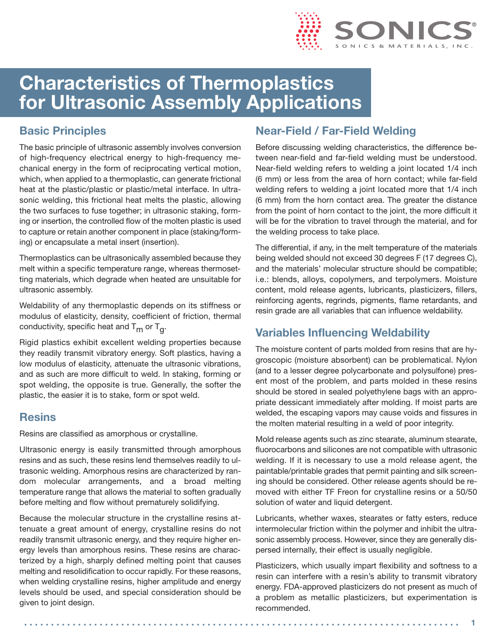

# **Characteristics of Thermoplastics for Ultrasonic Assembly Applications**

### **Basic Principles**

The basic principle of ultrasonic assembly involves conversion of high-frequency electrical energy to high-frequency mechanical energy in the form of reciprocating vertical motion, which, when applied to a thermoplastic, can generate frictional heat at the plastic/plastic or plastic/metal interface. In ultrasonic welding, this frictional heat melts the plastic, allowing the two surfaces to fuse together; in ultrasonic staking, forming or insertion, the controlled flow of the molten plastic is used to capture or retain another component in place (staking/forming) or encapsulate a metal insert (insertion).

Thermoplastics can be ultrasonically assembled because they melt within a specific temperature range, whereas thermosetting materials, which degrade when heated are unsuitable for ultrasonic assembly.

Weldability of any thermoplastic depends on its stiffness or modulus of elasticity, density, coefficient of friction, thermal conductivity, specific heat and  $T_m$  or  $T_q$ .

Rigid plastics exhibit excellent welding properties because they readily transmit vibratory energy. Soft plastics, having a low modulus of elasticity, attenuate the ultrasonic vibrations, and as such are more difficult to weld. In staking, forming or spot welding, the opposite is true. Generally, the softer the plastic, the easier it is to stake, form or spot weld.

#### **Resins**

Resins are classified as amorphous or crystalline.

Ultrasonic energy is easily transmitted through amorphous resins and as such, these resins lend themselves readily to ultrasonic welding. Amorphous resins are characterized by random molecular arrangements, and a broad melting temperature range that allows the material to soften gradually before melting and flow without prematurely solidifying.

Because the molecular structure in the crystalline resins attenuate a great amount of energy, crystalline resins do not readily transmit ultrasonic energy, and they require higher energy levels than amorphous resins. These resins are characterized by a high, sharply defined melting point that causes melting and resolidification to occur rapidly. For these reasons, when welding crystalline resins, higher amplitude and energy levels should be used, and special consideration should be given to joint design.

#### **Near-Field / Far-Field Welding**

Before discussing welding characteristics, the difference between near-field and far-field welding must be understood. Near-field welding refers to welding a joint located 1/4 inch (6 mm) or less from the area of horn contact; while far-field welding refers to welding a joint located more that 1/4 inch (6 mm) from the horn contact area. The greater the distance from the point of horn contact to the joint, the more difficult it will be for the vibration to travel through the material, and for the welding process to take place.

The differential, if any, in the melt temperature of the materials being welded should not exceed 30 degrees F (17 degrees C), and the materials' molecular structure should be compatible; i.e.: blends, alloys, copolymers, and terpolymers. Moisture content, mold release agents, lubricants, plasticizers, fillers, reinforcing agents, regrinds, pigments, flame retardants, and resin grade are all variables that can influence weldability.

#### **Variables Influencing Weldability**

The moisture content of parts molded from resins that are hygroscopic (moisture absorbent) can be problematical. Nylon (and to a lesser degree polycarbonate and polysulfone) present most of the problem, and parts molded in these resins should be stored in sealed polyethylene bags with an appropriate dessicant immediately after molding. If moist parts are welded, the escaping vapors may cause voids and fissures in the molten material resulting in a weld of poor integrity.

Mold release agents such as zinc stearate, aluminum stearate, fluorocarbons and silicones are not compatible with ultrasonic welding. If it is necessary to use a mold release agent, the paintable/printable grades that permit painting and silk screening should be considered. Other release agents should be removed with either TF Freon for crystalline resins or a 50/50 solution of water and liquid detergent.

Lubricants, whether waxes, stearates or fatty esters, reduce intermolecular friction within the polymer and inhibit the ultrasonic assembly process. However, since they are generally dispersed internally, their effect is usually negligible.

Plasticizers, which usually impart flexibility and softness to a resin can interfere with a resin's ability to transmit vibratory energy. FDA-approved plasticizers do not present as much of a problem as metallic plasticizers, but experimentation is recommended.

```
. . . . . . . . . . . . . . . . . . . . . . . . . . . . . . . . . . . . . . . . . . . . . . . . . . . . . . . . . . . . . . . . . . . . . . . . . . . . . . . . . 1
```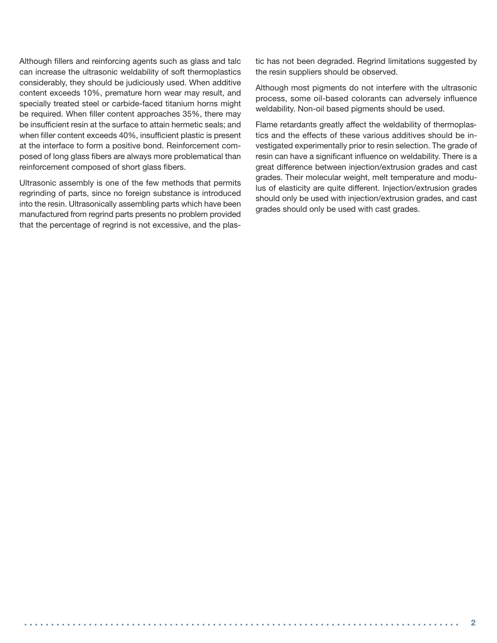Although fillers and reinforcing agents such as glass and talc can increase the ultrasonic weldability of soft thermoplastics considerably, they should be judiciously used. When additive content exceeds 10%, premature horn wear may result, and specially treated steel or carbide-faced titanium horns might be required. When filler content approaches 35%, there may be insufficient resin at the surface to attain hermetic seals; and when filler content exceeds 40%, insufficient plastic is present at the interface to form a positive bond. Reinforcement composed of long glass fibers are always more problematical than reinforcement composed of short glass fibers.

Ultrasonic assembly is one of the few methods that permits regrinding of parts, since no foreign substance is introduced into the resin. Ultrasonically assembling parts which have been manufactured from regrind parts presents no problem provided that the percentage of regrind is not excessive, and the plastic has not been degraded. Regrind limitations suggested by the resin suppliers should be observed.

Although most pigments do not interfere with the ultrasonic process, some oil-based colorants can adversely influence weldability. Non-oil based pigments should be used.

Flame retardants greatly affect the weldability of thermoplastics and the effects of these various additives should be investigated experimentally prior to resin selection. The grade of resin can have a significant influence on weldability. There is a great difference between injection/extrusion grades and cast grades. Their molecular weight, melt temperature and modulus of elasticity are quite different. Injection/extrusion grades should only be used with injection/extrusion grades, and cast grades should only be used with cast grades.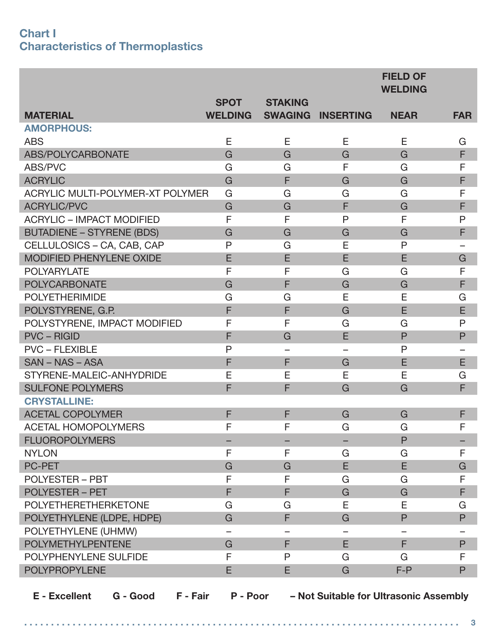#### **Chart I Characteristics of Thermoplastics**

|                                  |                |                |                  | <b>FIELD OF</b><br><b>WELDING</b> |              |
|----------------------------------|----------------|----------------|------------------|-----------------------------------|--------------|
|                                  | <b>SPOT</b>    | <b>STAKING</b> |                  |                                   |              |
| <b>MATERIAL</b>                  | <b>WELDING</b> | <b>SWAGING</b> | <b>INSERTING</b> | <b>NEAR</b>                       | <b>FAR</b>   |
| <b>AMORPHOUS:</b>                |                |                |                  |                                   |              |
| <b>ABS</b>                       | Ε              | E              | E                | Е                                 | G            |
| ABS/POLYCARBONATE                | G              | G              | G                | G                                 | F            |
| ABS/PVC                          | G              | G              | F                | G                                 | F            |
| <b>ACRYLIC</b>                   | G              | F              | G                | G                                 | F            |
| ACRYLIC MULTI-POLYMER-XT POLYMER | G              | G              | G                | G                                 | F            |
| <b>ACRYLIC/PVC</b>               | G              | G              | F                | G                                 | F            |
| <b>ACRYLIC - IMPACT MODIFIED</b> | F              | F              | P                | F                                 | $\mathsf{P}$ |
| <b>BUTADIENE - STYRENE (BDS)</b> | G              | G              | G                | G                                 | F            |
| CELLULOSICS - CA, CAB, CAP       | $\mathsf{P}$   | G              | E                | $\mathsf{P}$                      |              |
| <b>MODIFIED PHENYLENE OXIDE</b>  | E              | E              | E                | E                                 | G            |
| <b>POLYARYLATE</b>               | F              | F              | G                | G                                 | F            |
| <b>POLYCARBONATE</b>             | G              | F              | G                | G                                 | F            |
| <b>POLYETHERIMIDE</b>            | G              | G              | E                | E                                 | G            |
| POLYSTYRENE, G.P.                | F              | F              | G                | E                                 | E            |
| POLYSTYRENE, IMPACT MODIFIED     | F              | F              | G                | G                                 | P            |
| <b>PVC - RIGID</b>               | F              | G              | E                | $\mathsf{P}$                      | $\mathsf P$  |
| <b>PVC - FLEXIBLE</b>            | $\mathsf{P}$   |                |                  | $\mathsf{P}$                      |              |
| SAN - NAS - ASA                  | F              | F              | G                | E                                 | E            |
| STYRENE-MALEIC-ANHYDRIDE         | E              | E              | E                | E                                 | G            |
| <b>SULFONE POLYMERS</b>          | F              | F              | G                | G                                 | F            |
| <b>CRYSTALLINE:</b>              |                |                |                  |                                   |              |
| <b>ACETAL COPOLYMER</b>          | F              | F              | G                | G                                 | F            |
| <b>ACETAL HOMOPOLYMERS</b>       | F              | F              | G                | G                                 | F            |
| <b>FLUOROPOLYMERS</b>            |                |                |                  | $\mathsf{P}$                      |              |
| <b>NYLON</b>                     | F              | F              | G                | G                                 | F            |
| <b>PC-PET</b>                    | G              | G              | E                | E                                 | G            |
| <b>POLYESTER - PBT</b>           | F              | F              | G                | G                                 | F            |
| <b>POLYESTER - PET</b>           | F              | F              | G                | G                                 | F            |
| <b>POLYETHERETHERKETONE</b>      | G              | G              | E                | E                                 | G            |
| POLYETHYLENE (LDPE, HDPE)        | G              | F              | G                | P                                 | $\mathsf{P}$ |
| POLYETHYLENE (UHMW)              |                |                |                  |                                   |              |
| <b>POLYMETHYLPENTENE</b>         | G              | F              | E                | F                                 | $\mathsf P$  |
| POLYPHENYLENE SULFIDE            | F              | P              | G                | G                                 | F            |
| <b>POLYPROPYLENE</b>             | E              | E              | G                | $F-P$                             | P            |
|                                  |                |                |                  |                                   |              |

**E - Excellent G - Good F - Fair P - Poor – Not Suitable for Ultrasonic Assembly**

**. . . . . . . . . . . . . . . . . . . . . . . . . . . . . . . . . . . . . . . . . . . . . . . . . . . . . . . . . . . . . . . . . . . . . . . . . . . . . . . . . 3**